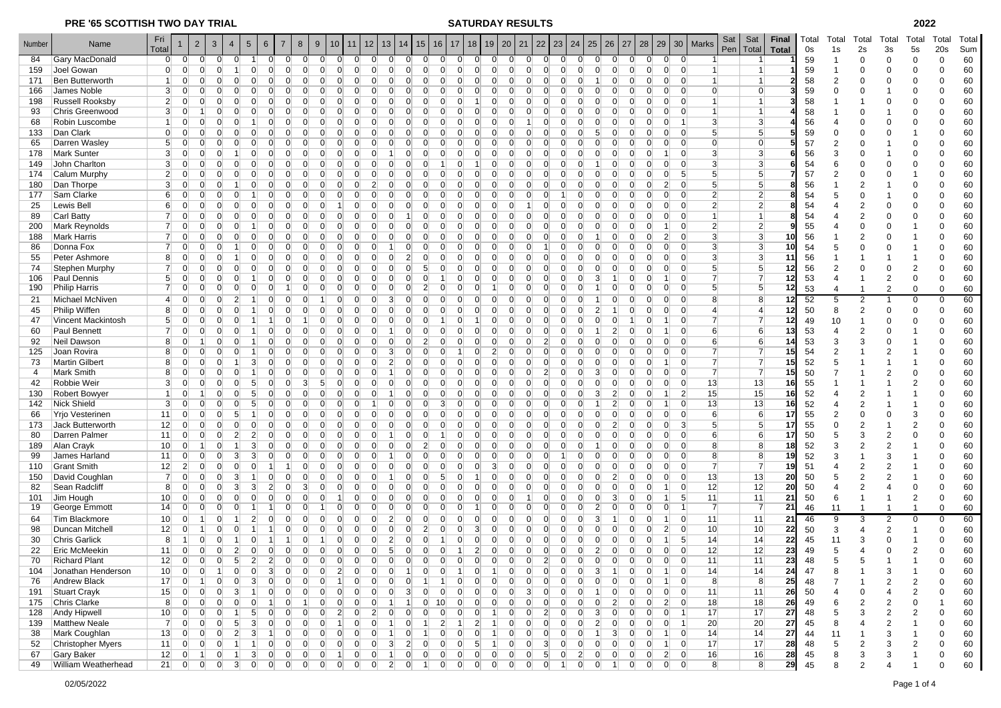| Number         | Name                     | Fri<br>Total    |          | $\overline{2}$       | $\mathbf{3}$        |                             | $\overline{4}$ | $5\overline{)}$ | 6              |                      | 8              | 9              | 10 <sup>1</sup>   | 11                   | $12 \overline{ }$ | 13                                | 14             | 15             | 16 <sup>1</sup> | 17                                                        | 18                   | 19 <sup>1</sup>                  |                | $20$   21       | 22             |                      | $23 \mid 24$         | $25 \mid$      | $26 \mid 27$           | 28 <sub>1</sub> |                                       | 29 30                                        | <b>Marks</b>    | Sat<br>Pen | Sat<br>Total    | <b>Final</b><br><b>Total</b> | Total<br>0s | Total<br>1s              | Total<br>2s             | Total<br>3s         | Total<br>5s    | Total<br>20s     | Total<br>Sum |
|----------------|--------------------------|-----------------|----------|----------------------|---------------------|-----------------------------|----------------|-----------------|----------------|----------------------|----------------|----------------|-------------------|----------------------|-------------------|-----------------------------------|----------------|----------------|-----------------|-----------------------------------------------------------|----------------------|----------------------------------|----------------|-----------------|----------------|----------------------|----------------------|----------------|------------------------|-----------------|---------------------------------------|----------------------------------------------|-----------------|------------|-----------------|------------------------------|-------------|--------------------------|-------------------------|---------------------|----------------|------------------|--------------|
| 84             | Gary MacDonald           | 0               |          | 0                    | $\overline{0}$      | 0                           | $\overline{0}$ | $\overline{1}$  | 0              | $\overline{0}$       | $\overline{0}$ | $\overline{0}$ | $\overline{0}$    | $\overline{0}$       | $\overline{0}$    | $\overline{0}$                    | $\overline{0}$ | $\overline{0}$ | 0               |                                                           | $\overline{0}$       | $\overline{0}$<br>$\overline{0}$ | $\overline{0}$ | $\overline{0}$  | 0              | $\overline{0}$       | $\Omega$             | $\overline{0}$ | $\overline{0}$         | $\Omega$        | $\overline{0}$<br>$\overline{0}$      | $\Omega$                                     | $\vert$ 1       |            | 11              |                              | 59          | $\mathbf{1}$             | $\Omega$                | $\Omega$            | $\Omega$       | $\Omega$         | 60           |
| 159            | Joel Gowan               | $\overline{0}$  |          | $\overline{0}$       | $\Omega$            | $\overline{0}$              |                | $\Omega$        | $\Omega$       | $\Omega$             | $\overline{0}$ | $\Omega$       | $\overline{0}$    | $\overline{0}$       | $\Omega$          | $\overline{0}$                    | $\overline{0}$ | $\overline{0}$ | $\overline{0}$  |                                                           | $\overline{0}$       | $\overline{0}$<br>$\overline{0}$ | $\overline{0}$ | $\overline{0}$  | $\overline{0}$ | $\overline{0}$       | $\Omega$             | $\overline{0}$ | $\overline{0}$         | $\Omega$        | $\overline{0}$                        | $\Omega$                                     | $\vert$ 1       |            | $\vert$ 1       |                              | 59          |                          | $\Omega$                | $\Omega$            | $\Omega$       | $\Omega$         | 60           |
| 171            | Ben Butterworth          | $\vert$ 1       |          | $\overline{0}$       |                     |                             |                |                 |                |                      |                |                |                   |                      |                   |                                   |                |                |                 |                                                           |                      |                                  |                |                 |                |                      |                      |                |                        |                 | $\Omega$                              | $\Omega$                                     | 1               |            | $\vert$ 1       |                              | 58          | $\overline{2}$           | $\Omega$                | $\Omega$            | $\Omega$       |                  | 60           |
| 166            | James Noble              | $3 \vert$       |          | $\overline{0}$       |                     |                             |                |                 |                |                      |                |                |                   |                      |                   |                                   |                |                |                 |                                                           |                      |                                  |                |                 |                |                      |                      |                |                        |                 | $\Omega$                              | $\Omega$                                     | 0               |            | $\overline{0}$  |                              | 59          | $\Omega$                 | $\Omega$                |                     | $\Omega$       | $\Omega$         | 60           |
| 198            | <b>Russell Rooksby</b>   | $\overline{2}$  |          | $\overline{0}$       |                     |                             |                |                 |                |                      |                |                |                   |                      |                   |                                   |                |                |                 |                                                           |                      |                                  |                |                 |                |                      |                      |                |                        |                 | 0                                     |                                              | 1               |            | 1               |                              | 58          |                          |                         | $\Omega$            | $\mathbf 0$    | $\Omega$         | 60           |
| 93             | Chris Greenwood          | 3 <sup>l</sup>  |          | $\Omega$             |                     |                             |                |                 |                |                      |                |                |                   |                      |                   |                                   |                |                |                 |                                                           |                      |                                  |                |                 |                |                      |                      |                |                        |                 | U                                     |                                              | 1               |            | $\overline{1}$  |                              | 58          |                          | $\Omega$                |                     | $\Omega$       | $\Omega$         | 60           |
| 68             | Robin Luscombe           |                 | $\Omega$ |                      |                     |                             |                |                 |                |                      |                |                |                   |                      |                   |                                   |                |                |                 |                                                           |                      |                                  |                |                 |                |                      |                      |                |                        |                 |                                       |                                              | 3 <sup>l</sup>  |            | $\mathcal{B}$   |                              | 56          |                          | $\Omega$                | $\Omega$            | $\Omega$       | $\Omega$         | 60           |
| 133            | Dan Clark                | $\overline{0}$  | $\Omega$ |                      |                     |                             |                |                 |                |                      |                |                |                   |                      |                   |                                   |                |                |                 |                                                           |                      |                                  |                |                 |                |                      |                      |                |                        |                 |                                       |                                              | 5 <sup>1</sup>  |            | $\sqrt{5}$      |                              | 59          | $\Omega$                 | $\Omega$                | $\Omega$            | $\mathbf{1}$   | $\Omega$         | 60           |
| 65             | Darren Wasley            | 5 <sup>5</sup>  | $\Omega$ |                      |                     |                             |                |                 |                |                      |                |                |                   |                      |                   |                                   |                |                |                 |                                                           |                      |                                  |                |                 |                |                      |                      |                |                        |                 | $\Omega$                              |                                              | $\overline{0}$  |            | $\Omega$        |                              | 57          | $\overline{2}$           | $\Omega$                |                     | $\mathbf 0$    | $\Omega$         | 60           |
| 178            | <b>Mark Sunter</b>       | $\vert$ 3       | $\Omega$ |                      |                     |                             |                |                 |                |                      |                |                |                   |                      |                   |                                   |                |                |                 |                                                           |                      |                                  |                |                 |                |                      |                      |                |                        |                 |                                       | $\Omega$                                     | 3 <sup>l</sup>  |            | 3               |                              | 56          | 3                        | $\Omega$                |                     | $\Omega$       | $\Omega$         | 60           |
| 149            | John Charlton            | $\vert$ 3       |          | $\Omega$             |                     |                             |                |                 |                |                      |                |                |                   |                      |                   |                                   |                |                |                 |                                                           |                      |                                  |                |                 |                |                      |                      |                |                        |                 | $\Omega$                              |                                              | $\overline{3}$  |            | 3               |                              | 54          |                          | $\Omega$                | $\Omega$            | $\Omega$       | $\Omega$         | 60           |
| 174            | Calum Murphy             | $\overline{2}$  |          | $\Omega$             |                     |                             |                |                 |                |                      |                |                |                   |                      |                   |                                   |                |                |                 |                                                           |                      |                                  |                |                 |                |                      |                      |                |                        |                 | 0                                     |                                              | 5               |            | $5\overline{5}$ |                              | 57          | $\overline{2}$           | $\Omega$                | $\Omega$            | -1             | $\Omega$         | 60           |
| 180            | Dan Thorpe               | $\vert$ 3       |          | $\Omega$             |                     |                             |                |                 |                |                      |                |                |                   |                      |                   |                                   |                |                |                 |                                                           |                      |                                  |                |                 |                |                      |                      |                |                        |                 | $2^{\mid}$                            |                                              | 5 <sup>1</sup>  |            | 5 <sup>1</sup>  |                              | 56          |                          | $\overline{2}$          |                     | $\mathbf 0$    | $\Omega$         | 60           |
|                |                          | $6 \mid$        | $\Omega$ |                      |                     |                             |                |                 |                |                      |                |                |                   |                      |                   |                                   |                |                |                 |                                                           |                      |                                  |                |                 |                |                      |                      |                |                        |                 | 0                                     |                                              | 2 <sup>2</sup>  |            | 2 <sup>1</sup>  |                              | 54          |                          | $\Omega$                |                     | $\Omega$       |                  | 60           |
| 177            | Sam Clarke               |                 |          |                      |                     |                             |                |                 |                |                      |                |                |                   |                      |                   |                                   |                |                |                 |                                                           |                      |                                  |                |                 |                |                      |                      |                |                        |                 | $\Omega$                              | $\Omega$                                     |                 |            | $\overline{2}$  |                              | 54          |                          | $\overline{2}$          | $\Omega$            | $\mathbf 0$    | $\Omega$         |              |
| 25             | Lewis Bell               | 6               |          | $\overline{0}$       |                     |                             |                |                 |                |                      |                |                |                   |                      |                   |                                   |                |                |                 |                                                           |                      |                                  |                |                 |                |                      |                      |                |                        |                 | $\Omega$                              | $\Omega$                                     | $\overline{2}$  |            | $\vert$         |                              |             |                          |                         |                     |                |                  | 60           |
| 89             | <b>Carl Batty</b>        | $\overline{7}$  |          | $\overline{0}$       |                     |                             |                |                 |                |                      |                |                |                   |                      |                   |                                   |                |                |                 |                                                           |                      |                                  |                |                 |                |                      |                      |                |                        |                 |                                       |                                              | 1               |            |                 |                              | 54          |                          | $\overline{2}$          | $\Omega$            | $\Omega$       | $\Omega$         | 60           |
| 200            | <b>Mark Reynolds</b>     | $\overline{7}$  |          | $\overline{0}$       |                     |                             |                |                 |                |                      |                |                |                   |                      |                   |                                   |                |                |                 |                                                           |                      |                                  |                |                 |                |                      |                      |                |                        |                 |                                       | $\Omega$                                     | $2 \vert$       |            | $\overline{2}$  |                              | 55          |                          | $\Omega$                | $\Omega$            | $\overline{1}$ | $\Omega$         | 60           |
| 188            | <b>Mark Harris</b>       | $\overline{7}$  | $\Omega$ |                      |                     |                             |                |                 |                |                      |                |                |                   |                      |                   |                                   |                |                |                 |                                                           |                      |                                  |                |                 |                |                      |                      |                |                        |                 | $\overline{2}$                        |                                              | 3 <sup>l</sup>  |            | 3               | 10                           | 56          |                          | $\overline{2}$          | $\Omega$            | -1             | $\Omega$         | 60           |
| 86             | Donna Fox                | $\overline{7}$  | $\Omega$ |                      |                     |                             |                |                 |                |                      |                |                |                   |                      |                   |                                   |                |                |                 |                                                           |                      |                                  |                |                 |                |                      |                      |                |                        |                 |                                       |                                              | 3 <sup>l</sup>  |            | 3 <sup>1</sup>  | 10                           | 54          | 5                        | $\Omega$                | $\Omega$            | $\overline{1}$ | $\Omega$         | 60           |
| 55             | Peter Ashmore            | 8               | $\Omega$ |                      |                     |                             |                |                 |                |                      |                |                |                   |                      |                   |                                   |                |                |                 |                                                           |                      |                                  |                |                 |                |                      |                      |                |                        |                 | n.                                    |                                              | 3 <sup>l</sup>  |            | $\mathcal{B}$   | 11                           | 56          |                          |                         |                     | -1             |                  | 60           |
| 74             | Stephen Murphy           | $\overline{7}$  | 0        |                      |                     |                             |                |                 |                |                      |                |                |                   |                      |                   |                                   |                |                |                 |                                                           |                      |                                  |                |                 |                |                      |                      |                |                        |                 |                                       |                                              | 5 <sup>1</sup>  |            | 5 <sup>1</sup>  | 12                           | 56          |                          | $\Omega$                | $\Omega$            | $\overline{2}$ | $\Omega$         | 60           |
| 106            | Paul Dennis              | 5 <sup>1</sup>  |          | $\Omega$             |                     |                             |                |                 |                |                      |                |                |                   |                      |                   |                                   |                |                |                 |                                                           |                      |                                  |                |                 |                |                      |                      |                |                        |                 |                                       |                                              | $\overline{7}$  |            | $\overline{7}$  | 12                           | 53          | $\boldsymbol{\varDelta}$ |                         | $\overline{2}$      | $\mathbf 0$    | $\Omega$         | 60           |
| 190            | <b>Philip Harris</b>     | 7               | 0        |                      |                     |                             |                |                 |                |                      |                |                |                   |                      |                   |                                   |                |                |                 |                                                           |                      |                                  |                |                 |                |                      |                      |                |                        |                 |                                       |                                              | 5               |            | 5               | 12                           | 53          | $\overline{4}$           | $\overline{1}$          | $\overline{2}$      | $\mathbf 0$    | $\Omega$         | 60           |
| 21             | Michael McNiven          | $\vert$         | $\Omega$ |                      |                     |                             |                |                 |                |                      |                |                |                   |                      |                   |                                   |                |                |                 |                                                           |                      |                                  |                |                 |                |                      |                      |                |                        |                 |                                       |                                              | 8 <sup>1</sup>  |            | 8               | 12                           | 52          | 5                        | $\overline{2}$          | $\overline{1}$      | $\mathbf 0$    |                  | 60           |
| 45             | Philip Wiffen            | 8               |          | $\Omega$             |                     |                             |                |                 |                |                      |                |                |                   |                      |                   |                                   |                |                |                 |                                                           |                      |                                  |                |                 |                |                      |                      |                |                        |                 |                                       |                                              | $\vert$         |            | $\overline{4}$  | 12                           | 50          | 8                        | $\overline{2}$          | $\Omega$            | $\Omega$       | $\Omega$         | 60           |
| 47             | Vincent Mackintosh       | 5               |          | $\Omega$             |                     |                             |                |                 |                |                      |                |                |                   |                      |                   |                                   |                |                |                 |                                                           |                      |                                  |                |                 |                |                      |                      |                |                        |                 |                                       |                                              | $\overline{7}$  |            | $\overline{7}$  | 12                           | 49          | 10                       |                         | $\Omega$            | $\Omega$       | $\Omega$         | 60           |
| 60             | <b>Paul Bennett</b>      | $\overline{7}$  |          | $\Omega$             |                     |                             |                |                 |                |                      |                |                |                   |                      |                   |                                   |                |                |                 |                                                           |                      |                                  |                |                 |                |                      |                      |                |                        |                 |                                       |                                              | $6 \vert$       |            | 6               | 13                           | 53          | $\boldsymbol{\varDelta}$ |                         | $\Omega$            | -1             | $\Omega$         | 60           |
| 92             | Neil Dawson              | 8               |          | $\Omega$             |                     |                             |                |                 |                |                      |                |                |                   |                      |                   |                                   |                |                |                 |                                                           |                      |                                  |                |                 |                |                      |                      |                |                        |                 | $\Omega$                              |                                              | $6 \vert$       |            | 6               | 14                           | 53          | 3                        | 3                       | $\Omega$            | -1             |                  | 60           |
| 125            | Joan Rovira              | 8 <sup>°</sup>  | $\Omega$ |                      |                     |                             |                |                 |                |                      |                |                |                   |                      |                   |                                   |                |                |                 |                                                           |                      |                                  |                |                 |                |                      |                      |                |                        |                 |                                       |                                              | $\overline{7}$  |            | $\overline{7}$  | 15                           | 54          |                          |                         | $\overline{2}$      |                |                  | 60           |
| 73             | <b>Martin Gilbert</b>    | 8 <sup>°</sup>  |          | $\overline{0}$       |                     |                             |                |                 |                |                      |                |                |                   |                      |                   |                                   |                |                |                 |                                                           |                      |                                  |                |                 |                |                      |                      |                |                        |                 |                                       |                                              | $\overline{7}$  |            | $\overline{7}$  | 15                           | 52          | .5                       |                         |                     | -1             | $\Omega$         | 60           |
| $\overline{4}$ | <b>Mark Smith</b>        | 8               |          | $\overline{0}$       |                     |                             |                |                 |                |                      |                |                |                   |                      |                   |                                   |                |                |                 |                                                           |                      |                                  |                |                 |                |                      |                      |                |                        |                 | $\Omega$                              | $\Omega$                                     | $\overline{7}$  |            | $\overline{7}$  | 15                           | 50          |                          |                         |                     | $\Omega$       | $\Omega$         | 60           |
| 42             | Robbie Weir              | 3 <sup>l</sup>  |          | $\overline{0}$       |                     |                             |                |                 |                |                      |                |                |                   |                      |                   |                                   |                |                |                 |                                                           |                      |                                  |                |                 |                |                      |                      |                |                        |                 | $\Omega$                              |                                              | 13              |            | 13              | 16                           | 55          |                          |                         |                     | $\overline{2}$ | $\Omega$         | 60           |
| 130            | <b>Robert Bowyer</b>     | $\vert$ 1       |          | $\Omega$             |                     |                             |                |                 |                |                      |                |                |                   |                      |                   |                                   |                |                |                 |                                                           |                      |                                  |                |                 |                |                      |                      |                |                        |                 |                                       |                                              | 15              |            | 15              | 16                           | 52          |                          | $\overline{2}$          |                     | -1             | $\Omega$         | 60           |
| 142            | <b>Nick Shield</b>       | $3 \vert$       |          | $\Omega$             |                     |                             |                |                 |                |                      |                |                |                   |                      |                   |                                   |                |                |                 |                                                           |                      |                                  |                |                 |                |                      |                      |                |                        |                 |                                       |                                              | 13              |            | 13              | 16                           | 52          |                          | $\overline{2}$          |                     | $\overline{1}$ | $\Omega$         | 60           |
| 66             | Yrjo Vesterinen          | 11              |          | $\Omega$             |                     |                             |                |                 |                |                      |                |                |                   |                      |                   |                                   |                |                |                 |                                                           |                      |                                  |                |                 |                |                      |                      |                |                        |                 | $\Omega$                              |                                              | $6 \mid$        |            | 6               | 17                           | 55          | $\mathcal{P}$            | $\Omega$                | $\Omega$            | 3              |                  | 60           |
| 173            | Jack Butterworth         | 12              |          | $\Omega$             |                     |                             |                |                 |                |                      |                |                |                   |                      |                   |                                   |                |                |                 |                                                           |                      |                                  |                |                 |                |                      |                      |                |                        |                 |                                       |                                              | 5 <sup>1</sup>  |            | 5               | 17                           | 55          | $\Omega$                 | $\overline{2}$          |                     | $\overline{2}$ | $\Omega$         | 60           |
| 80             | Darren Palmer            | 11              |          | $\overline{0}$       |                     |                             |                |                 |                |                      |                |                |                   |                      |                   |                                   |                |                |                 |                                                           |                      |                                  |                |                 |                |                      |                      |                |                        |                 | $\Omega$                              |                                              | $6 \mid$        |            | 6               | 17                           | 50          | 5                        | 3                       | $\overline{2}$      | $\mathbf 0$    | $\Omega$         | 60           |
| 189            | Alan Crayk               | 10 <sup>1</sup> |          | $\Omega$             |                     |                             |                |                 |                |                      |                |                |                   |                      |                   |                                   |                |                |                 |                                                           |                      |                                  |                |                 |                |                      |                      |                |                        |                 | $\Omega$                              | $\Omega$                                     | 8               |            | 8               | 18                           | 52          | 3                        | 2                       | $\overline{2}$      | -1             | $\Omega$         | 60           |
| 99             | James Harland            | 11              |          | $\overline{0}$       | $\Omega$            |                             |                |                 |                |                      |                |                |                   |                      |                   |                                   |                |                |                 |                                                           |                      |                                  |                |                 |                |                      |                      |                |                        |                 | $\Omega$                              |                                              | 8 <sup>1</sup>  |            | 8               | 19                           | 52          | 3                        |                         | 3                   | -1             | $\Omega$         | 60           |
| 110            | <b>Grant Smith</b>       | 12              |          | $\overline{2}$       |                     |                             |                |                 |                |                      |                |                |                   |                      |                   |                                   |                |                |                 |                                                           |                      |                                  |                |                 |                |                      |                      |                |                        |                 | U                                     |                                              | $\overline{7}$  |            | $\overline{7}$  | 19                           | 51          |                          | 2                       |                     | -1             | $\Omega$         | 60           |
| 150            | David Coughlan           | $\overline{7}$  |          | $\overline{0}$       |                     |                             |                |                 |                |                      |                |                |                   |                      |                   |                                   |                |                |                 |                                                           |                      |                                  |                |                 |                |                      |                      |                | $\overline{2}$         |                 | $\Omega$                              |                                              | 13              |            | 13              | 20                           | 50          |                          |                         | $\overline{2}$      |                | $\Omega$         | 60           |
| 82             | Sean Radcliff            | 8               |          | $\overline{0}$       |                     |                             |                |                 |                |                      |                |                |                   |                      |                   |                                   |                |                |                 |                                                           |                      |                                  |                |                 |                |                      |                      |                |                        |                 |                                       | $\Omega$                                     | 12              |            | 12              | 20                           | 50          |                          |                         |                     | $\mathbf 0$    | $\Omega$         | 60           |
| 101            | Jim Hough                | 10 <sup>1</sup> |          | $\overline{0}$       |                     |                             |                |                 |                |                      |                |                |                   |                      |                   |                                   |                |                |                 |                                                           |                      |                                  |                |                 |                |                      |                      |                |                        |                 |                                       | -5                                           | 11              |            | 11              | 21                           | 50          | 6                        | -1                      | -1                  | $\overline{2}$ | $\Omega$         | 60           |
| 19             | George Emmott            | 14              | $\Omega$ |                      |                     |                             |                |                 |                |                      |                |                |                   |                      |                   |                                   |                |                |                 |                                                           |                      |                                  |                |                 |                |                      |                      |                |                        |                 | $\Omega$                              |                                              | $\overline{7}$  |            | $\overline{7}$  | $\overline{21}$              | 46          | 11                       | $\overline{\mathbf{1}}$ | $\overline{1}$      | $\overline{1}$ | $\Omega$         | 60           |
| 64             | Tim Blackmore            | 10              |          | $\overline{0}$       |                     |                             |                |                 |                |                      |                |                |                   |                      |                   |                                   |                |                |                 |                                                           |                      |                                  |                |                 |                |                      |                      |                |                        |                 |                                       | $\Omega$                                     | 11              |            | 11              | 21                           | 46          | 9                        | 3                       | 2                   | 0              | $\Omega$         | 60           |
| 98             | <b>Duncan Mitchell</b>   | 12              |          | $\overline{0}$       |                     |                             |                |                 |                |                      |                |                |                   |                      |                   |                                   |                |                |                 |                                                           |                      |                                  |                |                 |                |                      |                      |                |                        |                 | 2 <sup>1</sup>                        | $\Omega$                                     | 10 <sup>1</sup> |            | 10 <sup>1</sup> | 22                           | 50          | 3                        |                         | $\overline{2}$      | -1             | $\Omega$         | 60           |
| 30             | <b>Chris Garlick</b>     | 8               |          | $\mathbf{1}$         |                     |                             |                |                 |                |                      |                |                |                   |                      |                   |                                   |                |                |                 |                                                           |                      |                                  |                |                 |                |                      |                      |                |                        |                 |                                       | -5                                           | 14              |            | 14              | 22                           | 45          | 11                       | 3                       | $\Omega$            | -1             | $\Omega$         | 60           |
| 22             | <b>Eric McMeekin</b>     | 11              |          | $\overline{0}$       | $\Omega$            | $\Omega$                    | $\overline{2}$ |                 | 0              | $\Omega$             |                |                |                   |                      |                   | 5                                 | ∩              |                |                 |                                                           |                      |                                  | U              |                 |                | U                    |                      | $\overline{2}$ | $\Omega$               |                 | $\Omega$                              | $\Omega$                                     | 12              |            | 12              | 23                           | 49          | 5                        |                         | $\Omega$            | $\overline{2}$ | $\Omega$         | 60           |
| 70             | <b>Richard Plant</b>     | 12              |          | $\overline{0}$       | $\overline{0}$      | 0                           | 5 <sup>5</sup> | $\overline{2}$  | $\overline{2}$ | $\overline{0}$       | $\overline{0}$ | $\overline{0}$ | $\overline{0}$    | $\overline{0}$       | $\overline{0}$    | $\overline{0}$                    | $\overline{0}$ | 0              | 0               | 0                                                         | $\overline{0}$       | 0                                | $\overline{0}$ | $\overline{0}$  | $\overline{2}$ | $\overline{0}$       | $\overline{0}$       | $\overline{0}$ | $\overline{0}$         | $\overline{0}$  | $\overline{0}$<br>$\overline{0}$      | $\Omega$                                     | 11              |            | 11              | 23                           | 48          | 5                        | 5                       |                     |                | $\Omega$         | 60           |
|                | Jonathan Henderson       |                 |          |                      | 0                   |                             | $\overline{0}$ | 0               | 3 <sup>5</sup> |                      |                |                |                   |                      |                   |                                   |                |                |                 |                                                           |                      |                                  | 0              |                 |                |                      |                      |                |                        |                 |                                       | 0                                            | 14              |            | 14              |                              |             |                          |                         |                     |                |                  |              |
| 104            |                          | 10<br>17        |          | 0 <br>$\overline{0}$ | 1                   | $\vert$ 1<br>$\overline{0}$ | $\overline{0}$ | 3 <sup>l</sup>  | 0              | 0 <br>$\overline{0}$ | 0              | 0              | $\mathbf{2}$<br>1 | 0 <br>$\overline{0}$ | 0                 | $\vert 0 \vert$<br>$\overline{0}$ | $\vert$ 1      | 0              | 0 <br>$\vert$ 1 | 1                                                         | $\overline{0}$       | 0 <br>1                          | $\overline{0}$ | 0               | 0              | 0 <br>$\overline{0}$ | 0 <br>$\overline{0}$ | $\mathbf{3}$   | $\left  \right $<br> 0 | 0 <br> 0        | $\overline{0}$<br>1 <sup>1</sup><br>1 |                                              | 8               |            | 8 <sup>1</sup>  | 24                           | 47<br>48    | 8<br>$\overline{7}$      |                         | 3<br>$\overline{2}$ | -1             | 0<br>$\mathbf 0$ | 60           |
| 76             | Andrew Black             |                 |          |                      |                     |                             |                |                 |                |                      | $\overline{0}$ | $\overline{0}$ |                   |                      | 0                 |                                   | 0              | 1              |                 |                                                           |                      | 0 <br>$\overline{0}$             |                | $\overline{0}$  | $\overline{0}$ |                      |                      | $\overline{0}$ |                        |                 | $\overline{0}$                        | $\vert$ 0                                    |                 |            |                 | $\frac{25}{26}$              |             |                          |                         |                     | $\overline{2}$ |                  | 60           |
| 191            | Stuart Crayk             | 15              |          | 0                    | 0                   | 0                           | 3 <sup>l</sup> | 1               | $\overline{0}$ | $\overline{0}$       | 0              | 0              | 0                 | 0                    | 0                 | $\overline{0}$                    | $3 \vert$      | 0              | 0               |                                                           | 0 <br>$\overline{0}$ | 0                                | 0              | $\vert 3 \vert$ | $\overline{0}$ |                      | 0 <br> 0             |                | $0 \quad 0$<br>1       |                 | 0                                     | $0 \quad 0$                                  | 11              |            | 11              |                              | 50          |                          | $\Omega$                | $\overline{4}$      | $\overline{2}$ | $\Omega$         | 60           |
| 175            | Chris Clarke             | 8               |          | $\overline{0}$       | $\overline{0}$      | 0                           | $\overline{0}$ | $\overline{0}$  | 1              | $\overline{0}$       | $\vert$ 1      | $\overline{0}$ | $\overline{0}$    | 0                    | 0                 | 1                                 | $\vert$ 1      |                | $0$ 10          |                                                           | 0 <br> 0             | 0                                | $\overline{0}$ | $\overline{0}$  | 0              | 0                    | $\overline{0}$       | $\overline{0}$ | 2 <sup>2</sup>         | $\overline{0}$  | $\overline{0}$                        | $2 \n\begin{array}{ c c } \n0 \n\end{array}$ | 18              |            | 18              | 26                           | 49          | 6                        | $\overline{2}$          | $\overline{2}$      | $\mathbf 0$    |                  | 60           |
| 128            | Andy Hipwell             | 10 <sup>1</sup> |          | 0                    | 0                   | 0                           | $\vert$ 1      | 5 <sup>1</sup>  | 0              | $\overline{0}$       | 0              | 0              | $2 \vert$         | 0                    | $\vert$ 2         | 0                                 | 0              | 0              | 0               |                                                           | 0                    | $0$ 1                            | 0              | 0               | $\vert$ 2      |                      | 0 <br>$\overline{0}$ | 3              | 0                      | 0               | 0                                     | $0 \quad 1$                                  | 17              |            | 17              | 27                           | 48          | 5                        | 3                       | $\overline{2}$      | $\overline{2}$ | $\Omega$         | 60           |
| 139            | Matthew Neale            | 7               |          | 0                    | 0                   | 0                           | 5 <sub>5</sub> | $\mathbf{3}$    | 0              | $\overline{0}$       | $\overline{0}$ | 0              | 1                 | 0                    | 0                 | 1                                 | 0              | $\vert$ 1      | $\overline{2}$  | 1                                                         |                      | $2 \vert$<br>$\vert$ 1           | 0              | $\overline{0}$  | $\overline{0}$ | 0                    | 0                    | $\vert$ 2      | 0                      | 0               | 0                                     | $0 \quad 1$                                  | 20              |            | 20              | 27                           | 45          | 8                        | $\overline{4}$          | $\overline{2}$      | $\overline{1}$ | $\Omega$         | 60           |
| 38             | Mark Coughlan            | 13              |          | $\overline{0}$       | 0                   | 0                           | $\overline{2}$ | $3 \vert$       | $\vert$ 1      | $\overline{0}$       | 0              | 0              | 0                 | 0                    | 0                 | $\vert$ 1                         | 0              | 1              | 0               |                                                           | 0 <br> 0             | 1                                | 0              | 0               | 0              | 0                    | 0                    | 1              | $3 \vert$              | 0               | 0                                     | $1 \quad 0$                                  | 14              |            | 14              | 27                           | 44          | 11                       | $\overline{1}$          | 3                   | $\overline{1}$ | $\Omega$         | 60           |
| 52             | <b>Christopher Myers</b> | 11              |          | $\overline{0}$       | 0                   | 0                           | 1              | 1               | 0              | $\mathbf{0}$         | 0              | 0              | 0                 | 0                    | 0                 | 3 <sup>1</sup>                    | $\mathbf{2}$   | 0              | 0               |                                                           | 0 <br>5 <sup>5</sup> | $\vert$ 1                        | 0              | 0               | 3              | 0                    | 0                    | 0              | 0                      | 0               | 0 <br>1                               | 0                                            | 17              |            | 17              | 28                           | 48          | 5                        | $\overline{2}$          | 3                   | $\overline{2}$ | $\Omega$         | 60           |
| 67             | Gary Baker               | 12              |          | 0                    | $\vert$ 1           | 0                           | 1              | 3 <sup>l</sup>  | 0              | 0                    | 0              | 0              | 1                 | 0                    | 0                 | $\vert$ 1                         | 0              | 0              |                 | $\begin{array}{ c c } \hline 0 & 0 \\ \hline \end{array}$ |                      |                                  | 0              |                 | 0              | $5$ 0                | $\vert$ 2            |                | 0 <br> 0               | 0               | 0                                     | 2 0                                          | 16              |            | 16              | $\frac{28}{29}$              | 45          | 8                        | 3                       | 3                   | $\overline{1}$ | $\mathbf 0$      | 60           |
|                | 49 William Weatherhead   |                 | $21$ 0   |                      | $0 \quad 0 \quad 3$ |                             |                |                 |                |                      |                |                |                   |                      |                   |                                   |                |                |                 |                                                           |                      |                                  |                |                 |                |                      |                      |                |                        |                 | 0                                     | $ 0 $ 0                                      | 8               |            | 8 <sup>1</sup>  |                              | 45          | 8                        | $\mathcal{P}$           | $\overline{4}$      |                | $\mathbf 0$      | 60           |

02/05/2022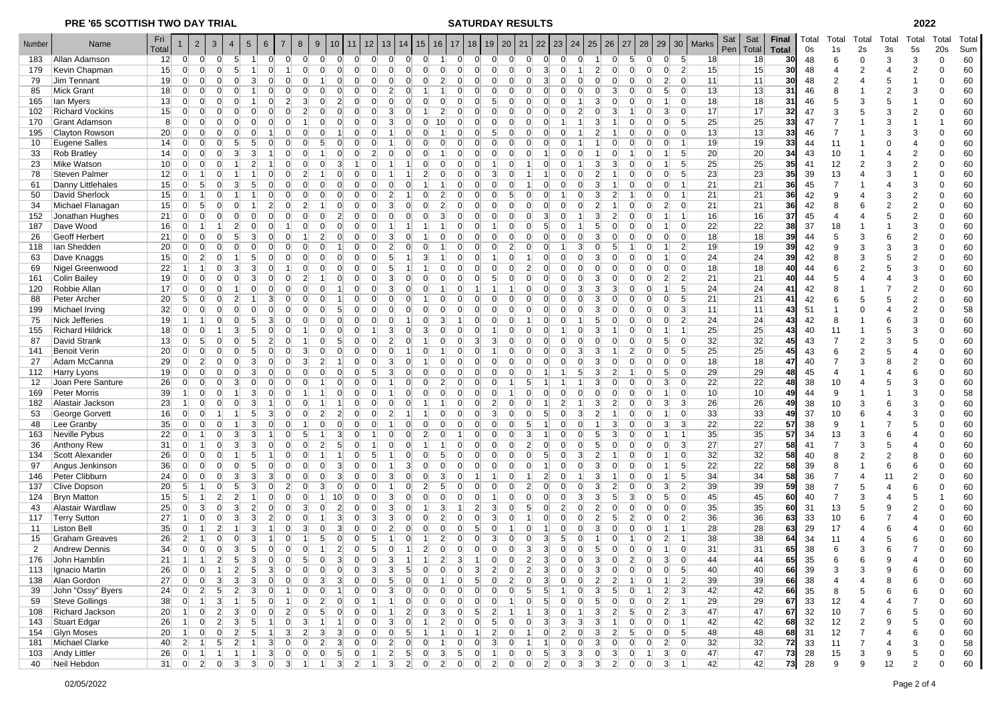| Number          | Name                    | Fri<br>Total    |                | 2               | 3                   | $\overline{4}$ | $5\phantom{.0}$                   | 6              |                 | 8               | 9              | 10                |                | 13<br>$12 \overline{ }$                            |                | 15             | 16                         | 17                               | 18              | 19 | 20                               | 21             | 22             | 23              | 24              | 25<br>26            | 27             | 28                               | 29              | 30              | <b>Marks</b>    | Sat<br>Sat<br>Pen   Total | Final<br><b>Total</b> | Total<br>0s | Total<br>1s    | Total<br>2s              | Total<br>3s    | Total<br>5s    | Total<br>20s | Total<br>Sum |
|-----------------|-------------------------|-----------------|----------------|-----------------|---------------------|----------------|-----------------------------------|----------------|-----------------|-----------------|----------------|-------------------|----------------|----------------------------------------------------|----------------|----------------|----------------------------|----------------------------------|-----------------|----|----------------------------------|----------------|----------------|-----------------|-----------------|---------------------|----------------|----------------------------------|-----------------|-----------------|-----------------|---------------------------|-----------------------|-------------|----------------|--------------------------|----------------|----------------|--------------|--------------|
| 183             | Allan Adamson           | 12              | 0              | $\overline{0}$  | 0                   |                | 5 <sup>5</sup><br>-11             | 0              | $\overline{0}$  | $\overline{0}$  | 0              | $\overline{0}$    | 0              | 0                                                  | $\overline{0}$ | 0              | $\overline{0}$             | 0 <br>$1\vert$                   | $\overline{0}$  |    | 0 <br> 0                         | 0              | $\overline{0}$ | $\overline{0}$  | $\overline{0}$  | $\overline{1}$      | $\overline{0}$ | 5 <sup>5</sup><br>$\overline{0}$ | $\overline{0}$  | 5               | 18              | 18                        | 30                    | 48          | 6              | $\mathbf 0$              | 3              | 3              | $\Omega$     | 60           |
| 179             | Kevin Chapman           | 15              | $\overline{0}$ | $\Omega$        | $\Omega$            |                | 5                                 | U              |                 | $\Omega$        | $\Omega$       | $\Omega$          | $\Omega$       | $\Omega$                                           | $\Omega$       | $\Omega$       | $\overline{0}$             | $\Omega$                         | $\Omega$        |    | $\Omega$<br>$\Omega$             | $\overline{0}$ | 3              | $\Omega$        |                 | $\overline{2}$      | $\Omega$       | $\Omega$<br>$\Omega$             |                 | $\overline{2}$  | 15              | 15                        | 30                    | 48          | $\overline{4}$ | $\overline{2}$           | Δ              | 2              | $\Omega$     | 60           |
| 79              | Jim Tennant             | 19              | 0              | $\Omega$        |                     |                |                                   |                |                 |                 |                |                   |                |                                                    |                |                |                            |                                  |                 |    |                                  |                |                |                 |                 | $\Omega$            | 0              |                                  | $\overline{2}$  |                 | 11              | 11                        | 30                    | 48          | $\overline{2}$ | $\boldsymbol{\varDelta}$ | 5              | -1             | $\Omega$     | 60           |
| 85              | <b>Mick Grant</b>       | 18              |                |                 |                     |                |                                   |                |                 |                 |                |                   |                |                                                    |                |                |                            |                                  |                 |    |                                  |                |                |                 |                 |                     |                |                                  | 5               |                 | 13              | 13                        | 31                    | 46          | 8              |                          | $\overline{2}$ | 3              | $\Omega$     | 60           |
| 165             | lan Myers               | 13              |                | $\Omega$        |                     |                |                                   |                |                 |                 |                |                   |                |                                                    |                |                |                            |                                  |                 |    |                                  |                |                |                 |                 | 3                   |                |                                  |                 | $\Omega$        | 18              | 18                        | 31                    | 46          | 5              | 3                        | 5              | $\overline{1}$ | $\Omega$     | 60           |
| 102             | <b>Richard Vockins</b>  | 15              |                |                 |                     |                |                                   |                |                 |                 |                |                   |                |                                                    |                |                |                            |                                  |                 |    |                                  |                |                |                 |                 |                     |                |                                  | 3               | $\Omega$        | 17              | 17                        | 32                    | 47          | 3              | 5                        | 3              | $\overline{2}$ | $\Omega$     | 60           |
| 170             | <b>Grant Adamson</b>    | 8               | $\Omega$       | $\Omega$        |                     |                |                                   |                |                 |                 |                |                   |                |                                                    |                |                |                            |                                  |                 |    |                                  |                |                |                 |                 | 3                   |                |                                  | $\Omega$        | -5              | 25              | 25                        | 33                    | 47          | $\overline{7}$ |                          | 3              | $\overline{1}$ |              | 60           |
| 195             | <b>Clayton Rowson</b>   | 20              |                | $\Omega$        |                     |                |                                   |                |                 |                 |                |                   |                |                                                    |                |                |                            |                                  |                 |    |                                  |                |                |                 |                 | 2                   |                | 0                                |                 | $\Omega$        | 13              | 13                        | 33                    | 46          | 7              |                          | 3              | 3              | $\Omega$     | 60           |
| 10 <sup>°</sup> | Eugene Salles           | 14              | $\overline{0}$ | $\Omega$        |                     |                | 5                                 |                |                 |                 | 5              |                   |                |                                                    |                |                |                            |                                  | $\Omega$        |    |                                  |                |                |                 |                 |                     | 0              | $\Omega$                         | $\Omega$        |                 | 19              | 19                        | 33                    | 44          | 11             |                          | $\Omega$       | 4              | $\Omega$     | 60           |
| 33              | <b>Rob Bratley</b>      | 14              |                | $\Omega$        |                     |                |                                   |                |                 |                 |                |                   |                |                                                    |                |                |                            |                                  |                 |    |                                  |                |                |                 |                 |                     |                |                                  |                 | 5               | 20 <sup>2</sup> | 20                        | 34                    | 43          | 10             |                          | 4              | $\overline{2}$ | $\Omega$     | 60           |
| 23              | Mike Watson             | 10 <sup>1</sup> | $\mathbf 0$    | $\Omega$        |                     |                | $\overline{2}$                    |                |                 |                 | $\Omega$       |                   |                |                                                    |                |                |                            |                                  | $\Omega$        |    |                                  |                |                |                 |                 | 3                   |                | $\Omega$                         |                 | 5               | 25              | 25                        | 35                    | 41          | 12             | $\overline{2}$           | 3              | 2              | $\Omega$     | 60           |
| 78              | Steven Palmer           | 12              |                |                 |                     |                |                                   |                |                 |                 |                |                   |                |                                                    |                |                | $\overline{2}$             |                                  |                 |    |                                  |                |                |                 |                 |                     |                |                                  |                 | 5               | 23              | 23                        | 35                    | 39          | 13             |                          | 3              | $\overline{1}$ | $\Omega$     | 60           |
| 61              | Danny Littlehales       | 15              | $\overline{0}$ | 5               |                     |                | 5                                 |                |                 |                 | $\Omega$       |                   |                |                                                    |                |                |                            |                                  | $\Omega$        |    |                                  |                |                |                 |                 | 3                   |                | $\Omega$                         |                 |                 | 21              | 21                        | 36                    | 45          | 7              |                          | 4              | 3              | $\Omega$     | 60           |
| 50              | David Sherlock          | 15              |                |                 |                     |                |                                   |                |                 |                 |                |                   |                |                                                    |                |                |                            |                                  |                 |    |                                  | $\Omega$       |                |                 |                 | 3                   |                |                                  |                 |                 | 21              | 21                        | 36                    | 42          | 9              |                          | 3              | $\overline{2}$ | $\Omega$     | 60           |
| 34              | Michael Flanagan        | 15              | $\Omega$       | 5               |                     |                |                                   | 2              |                 |                 |                |                   |                |                                                    |                |                |                            |                                  |                 |    |                                  | $\Omega$       |                |                 |                 | $\overline{2}$      |                | $\Omega$                         | $\overline{2}$  | $\Omega$        | 21              | 21                        | 36                    | 42          | 8              | 6                        | $\overline{2}$ | $\overline{2}$ | $\Omega$     | 60           |
| 152             | Jonathan Hughes         | 21              |                | $\Omega$        |                     |                |                                   |                |                 |                 |                |                   |                |                                                    |                |                |                            |                                  |                 |    |                                  |                |                |                 |                 | 3                   |                | 0                                |                 |                 | 16              | 16                        | 37                    | 45          | $\overline{4}$ |                          | 5              | $\overline{2}$ | $\Omega$     | 60           |
| 187             | Dave Wood               | 16              |                |                 |                     |                |                                   |                |                 |                 |                |                   |                |                                                    |                |                |                            |                                  |                 |    |                                  |                |                |                 |                 | 5                   |                |                                  |                 | $\Omega$        | 22              | 22                        | 38                    | 37          | 18             |                          |                | 3              | $\Omega$     | 60           |
| 26              | <b>Geoff Herbert</b>    | 21              |                |                 |                     |                |                                   |                |                 |                 |                |                   |                |                                                    |                |                |                            |                                  |                 |    |                                  |                |                |                 |                 |                     |                |                                  |                 | $\Omega$        | 18              | 18                        | 39                    | 44          | 5              | 3                        | 6              | $\overline{2}$ | $\Omega$     | 60           |
| 118             | Ian Shedden             | 20              |                | $\Omega$        |                     |                |                                   |                |                 |                 |                |                   |                |                                                    |                |                |                            |                                  |                 |    |                                  |                |                |                 |                 |                     |                |                                  |                 | $\overline{2}$  | 19              | 19                        | 39                    | 42          | 9              | 3                        | 3              | 3              | $\Omega$     | 60           |
| 63              | Dave Knaggs             | 15              | $\overline{0}$ | $\overline{2}$  |                     |                |                                   |                |                 |                 |                |                   |                |                                                    |                |                | 3                          |                                  | $\Omega$        |    |                                  |                |                |                 |                 | 3                   |                |                                  |                 | $\Omega$        | 24              | 24                        | 39                    | 42          | 8              | 3                        | 5              | $\overline{2}$ | $\Omega$     | 60           |
| 69              | Nigel Greenwood         | 22              |                |                 |                     |                |                                   |                |                 |                 |                |                   |                |                                                    |                |                |                            |                                  |                 |    |                                  |                |                |                 |                 |                     |                |                                  |                 | $\Omega$        | 18              | 18                        | 40                    | 44          | 6              | $\mathcal{P}$            | 5              | 3              | $\Omega$     | 60           |
| 161             | Colin Bailey            | 19              | $\overline{0}$ | $\Omega$        | $\Omega$            |                | 3                                 | $\Omega$       |                 | 2               |                |                   |                |                                                    |                |                | $\Omega$                   | ∩                                | $\Omega$        |    |                                  | $\Omega$       |                |                 |                 | 3                   |                |                                  | $\overline{2}$  | $\mathcal{P}$   | 21              | 21                        | 40                    | 44          | 5              | $\boldsymbol{\varDelta}$ | Δ              | 3              | $\Omega$     | 60           |
| 120             | Robbie Allan            | 17              | 0              | $\Omega$        |                     |                |                                   |                |                 |                 |                |                   |                |                                                    |                |                |                            |                                  |                 |    |                                  |                |                |                 |                 | 3                   |                |                                  |                 | 5               | 24              | 24                        | 41                    | 42          |                |                          |                | 2              | $\Omega$     | 60           |
| 88              | Peter Archer            | 20              | 5 <sup>5</sup> | $\Omega$        |                     |                |                                   |                |                 |                 |                |                   |                |                                                    |                |                |                            |                                  |                 |    |                                  |                |                |                 |                 |                     |                |                                  |                 | 5               | 21              | 21                        | 41                    | 42          |                | 5                        | 5              | 2              | $\Omega$     | 60           |
| 199             | Michael Irving          | 32              |                |                 |                     |                |                                   |                |                 |                 |                |                   |                |                                                    |                |                |                            |                                  |                 |    |                                  |                |                |                 |                 |                     |                |                                  |                 | 3               | 11              | 11                        | 43                    | 51          |                | $\Omega$                 | 4              | 2              | $\Omega$     | 58           |
| 75              | Nick Jefferies          | 19              |                |                 | $\Omega$            |                | 5                                 | 3              |                 |                 | $\Omega$       |                   |                |                                                    |                |                |                            |                                  | $\Omega$        |    |                                  |                |                |                 |                 | 5                   |                |                                  |                 | $\overline{2}$  | 24              | 24                        | 43                    | 42          | 8              |                          | 6              | 3              | $\Omega$     | 60           |
| 155             | <b>Richard Hildrick</b> | 18              | $\Omega$       | $\Omega$        |                     |                | 5                                 |                |                 |                 | ∩              |                   |                |                                                    |                |                | 3                          |                                  |                 |    |                                  |                |                |                 |                 | 3                   |                |                                  |                 |                 | 25              | 25                        | 43                    | 40          | 11             |                          | 5              | 3              | $\Omega$     | 60           |
| 87              | David Strank            | 13              | 0              | 5               |                     |                |                                   |                |                 |                 |                |                   |                |                                                    |                |                |                            |                                  |                 |    |                                  |                |                |                 |                 |                     |                |                                  | 5 <sup>1</sup>  | $\Omega$        | 32              | 32                        | 45                    | 43          | $\overline{7}$ | $\overline{2}$           | 3              | 5              | $\Omega$     | 60           |
| 141             | Benoit Verin            | 20              |                | $\Omega$        |                     |                |                                   |                |                 |                 |                |                   |                |                                                    |                |                |                            |                                  |                 |    |                                  |                |                |                 |                 | З                   |                |                                  |                 | .5              | 25              | 25                        | 45                    | 43          | 6              | $\overline{2}$           | 5              | $\overline{4}$ | $\Omega$     | 60           |
| 27              | Adam McCanna            | 29              |                |                 |                     |                |                                   |                |                 |                 |                |                   |                |                                                    |                |                |                            |                                  |                 |    |                                  |                |                |                 |                 |                     |                |                                  |                 | $\Omega$        | 18              | 18                        | 47                    | 40          | 7              | 3                        | 8              | $\overline{2}$ | $\Omega$     | 60           |
| 112             | <b>Harry Lyons</b>      | 19              |                | $\Omega$        |                     |                |                                   |                |                 |                 |                |                   |                |                                                    |                |                |                            |                                  |                 |    |                                  |                |                |                 |                 | 3                   |                |                                  | 5 <sup>1</sup>  | $\Omega$        | 29              | 29                        | 48                    | 45          | $\overline{4}$ |                          | 4              | 6              | $\Omega$     | 60           |
| 12              | Joan Pere Santure       | 26              |                | $\Omega$        |                     |                |                                   |                |                 |                 |                |                   |                |                                                    |                |                |                            |                                  |                 |    |                                  |                |                |                 |                 | 3                   |                |                                  | 3               | $\Omega$        | 22              | 22                        | 48                    | 38          | 10             | $\overline{4}$           | 5              | 3              | $\Omega$     | 60           |
| 169             | Peter Morris            | 39              |                | $\Omega$        |                     |                | 3                                 |                |                 |                 |                |                   |                |                                                    |                |                |                            |                                  | $\Omega$        |    |                                  | $\Omega$       |                |                 |                 |                     |                |                                  |                 | $\Omega$        | 10 <sup>1</sup> | 10                        | 49                    | 44          | 9              |                          |                | 3              | $\Omega$     | 58           |
| 182             | Alastair Jackson        | 23              |                | $\Omega$        |                     |                | 3                                 |                |                 |                 |                |                   |                |                                                    |                |                |                            |                                  | $\Omega$        |    |                                  |                |                |                 |                 | 3                   |                | $\Omega$                         | 3               | 3               | 26              | 26                        | 49                    | 38          | 10             | 3                        | 6              | 3              | $\Omega$     | 60           |
| 53              | George Gorvett          | 16              | $\overline{0}$ | $\Omega$        |                     |                | 5                                 | 3              |                 |                 | $\overline{2}$ |                   |                |                                                    |                |                |                            |                                  | $\Omega$        |    |                                  | $\Omega$       |                |                 | 3               | $\overline{2}$      |                | 0<br>$\Omega$                    |                 | $\Omega$        | 33              | 33                        | 49                    | 37          | 10             | 6                        | $\overline{4}$ | 3              | $\Omega$     | 60           |
| 48              | Lee Granby              | 35              | 0              | $\Omega$        |                     |                |                                   |                |                 |                 |                |                   |                |                                                    |                |                |                            |                                  |                 |    |                                  |                |                |                 |                 |                     |                |                                  |                 | 3               | 22              | 22                        | 57                    | 38          | 9              |                          | $\overline{7}$ | 5              |              | 60           |
| 163             | Neville Pybus           | 22              |                |                 | $\overline{0}$      |                | 3<br>3                            |                |                 |                 |                |                   |                |                                                    |                |                | $\overline{2}$             |                                  | $\Omega$        |    |                                  | 3              |                |                 |                 | 5                   |                |                                  |                 |                 | 35              | 35                        | 57                    | 34          | 13             | 3                        | 6              | $\overline{4}$ | $\Omega$     | 60           |
| 36              | <b>Anthony Rew</b>      | 31              |                |                 |                     |                | 3                                 |                |                 |                 | $\overline{2}$ |                   |                |                                                    |                |                |                            |                                  |                 |    |                                  | $\overline{2}$ |                |                 |                 | 5                   |                | $\Omega$                         |                 | 3               | 27              | 27                        | 58                    | 41          | $\overline{7}$ | 3                        | 5              | 4              | $\Omega$     | 60           |
| 134             | Scott Alexander         | 26              | $\Omega$       | $\Omega$        |                     |                |                                   |                |                 |                 |                |                   |                |                                                    |                |                |                            |                                  | $\Omega$        |    |                                  | $\Omega$       |                |                 | 3               | $\mathcal{P}$       |                |                                  |                 | $\overline{0}$  | 32              | 32                        | 58                    | 40          | 8              | $\overline{2}$           | $\overline{2}$ | 8              | $\Omega$     | 60           |
| 97              | Angus Jenkinson         | 36              |                | $\Omega$        |                     |                | 5                                 |                |                 |                 |                |                   |                |                                                    |                |                |                            |                                  |                 |    |                                  |                |                |                 |                 | 3                   |                |                                  |                 | 5               | 22              | 22                        | 58                    | 39          | 8              |                          | 6              | 6              | $\Omega$     | 60           |
| 146             | Peter Clibburn          | 24              | $\Omega$       | $\Omega$        |                     |                |                                   | 3              |                 |                 |                |                   |                |                                                    |                |                |                            |                                  |                 |    |                                  |                |                |                 |                 | 3                   |                |                                  |                 | 5               | 34              | 34                        | 58                    | 36          | $\overline{7}$ | $\boldsymbol{\varDelta}$ | 11             | 2              | $\Omega$     | 60           |
| 137             | <b>Clive Dopson</b>     | 20              | 5              |                 |                     |                |                                   |                |                 |                 |                |                   |                |                                                    |                |                |                            |                                  |                 |    |                                  |                |                |                 |                 | 3                   |                |                                  | 3               | $\overline{2}$  | 39              | 39                        | 59                    | 38          | $\overline{7}$ | 5                        | $\overline{4}$ | 6              | $\Omega$     | 60           |
| 124             | <b>Bryn Matton</b>      | 15              | 5              |                 |                     |                |                                   |                |                 |                 |                |                   |                |                                                    |                |                |                            |                                  |                 |    |                                  |                |                |                 |                 |                     |                |                                  |                 | $\Omega$        | 45              | 45                        | 60                    | 40          | $\overline{7}$ | 3                        | $\overline{4}$ | 5              |              | 60           |
| 43              | Alastair Wardlaw        | 25              |                | 3               |                     |                |                                   |                |                 |                 |                |                   |                |                                                    |                |                |                            |                                  |                 |    |                                  |                |                |                 |                 |                     |                |                                  |                 | $\Omega$        | 35              | 35                        | 60                    | 31          | 13             | 5                        | 9              | $\overline{2}$ | $\Omega$     | 60           |
| 117             | <b>Terry Sutton</b>     | 27              |                | $\Omega$        |                     |                | 3                                 |                |                 |                 |                |                   |                |                                                    |                |                |                            |                                  |                 |    |                                  |                |                |                 |                 | 2                   |                |                                  | $\Omega$        | $\overline{2}$  | 36              | 36                        | 63                    | 33          | 10             | 6                        | $\overline{7}$ | 4              | $\Omega$     | 60           |
| 11              | <b>Liston Bell</b>      | 35              | $\overline{0}$ | $\vert$ 1       | 2 <sup>1</sup>      |                | 3                                 | -1             |                 | 3               | ∩              |                   |                |                                                    |                |                | $\Omega$                   | ∩                                | 5               |    |                                  | $\Omega$       |                |                 |                 | 3                   | $\Omega$       | $\Omega$<br>$\Omega$             |                 |                 | 28              | 28                        | 63                    | 29          | 17             |                          | 6              | 4              | $\Omega$     | 60           |
| 15              | <b>Graham Greaves</b>   | 26              | $\overline{2}$ | $\vert$ 1       | $\Omega$            |                | 3<br>O                            |                |                 |                 | 5              |                   |                |                                                    |                |                |                            |                                  | $\Omega$        |    |                                  |                | 3              |                 |                 |                     |                | $\Omega$                         |                 |                 | 38              | 38                        | 64                    | 34          | 11             |                          | 5              | 6              | $\Omega$     | 60           |
| $\overline{2}$  | <b>Andrew Dennis</b>    | 34              | $\overline{0}$ | $\overline{0}$  | 0                   |                | 5 <sup>5</sup><br>$\mathbf{3}$    | $\overline{0}$ | $\overline{0}$  | $\overline{0}$  | 11             | $\overline{2}$    | $\overline{0}$ | 5 <sup>1</sup>                                     | 0              | $\vert$ 1      | 2 <sup>1</sup><br>$\Omega$ | $\overline{0}$                   | $\overline{0}$  |    | $\Omega$<br>$\overline{0}$       | $\overline{3}$ | $\mathbf{3}$   | $\overline{0}$  | $\overline{0}$  | 5 <sup>5</sup>      | $\overline{0}$ | $\overline{0}$<br>$\overline{0}$ |                 | $\overline{0}$  | 31              | 31                        | 65                    | 38          | 6              | 3                        | 6              | 7              | $\Omega$     | 60           |
| 176             | John Hamblin            | 21              | 1              | $\vert$ 1       | 2 <sup>1</sup>      |                | 5 <sup>1</sup><br>$\vert 3 \vert$ | $\overline{0}$ | $\overline{0}$  | 5 <sup>5</sup>  | 0              | $\mathbf{3}$      | $\overline{0}$ | $\overline{0}$                                     | $\mathbf{3}$   | 1              | 1                          | $\mathbf{3}$<br>$\overline{2}$   | 1               |    | $\overline{0}$<br>$\overline{0}$ | $\overline{2}$ | $\overline{3}$ | $\overline{0}$  | $\overline{0}$  | 3 <sup>l</sup>      | $\overline{0}$ | $\overline{2}$<br>$\overline{0}$ | 3 <sup>1</sup>  | $\overline{0}$  | 44              | 44                        | 65                    | 35          |                |                          |                |                |              | 60           |
|                 | 113   Ignacio Martin    | 26              | 0              | $\vert 0 \vert$ |                     |                | $\mathbf{Z}$<br>$\vert 5 \vert$   | 3 <sup>1</sup> | $\vert 0 \vert$ | 0               | 0              | 0                 | 0              | 3 <sub>l</sub>                                     | $\mathbf{3}$   | 5 <sub>l</sub> | 0                          | 0 <br> 0                         | $\vert 3 \vert$ |    | 2 <sup>1</sup><br> 0             | $\mathbf{Z}$   | $\mathbf{3}$   | 0               | 0               | 3                   | 0              | 0 <br> 0                         | 0               | $\sqrt{5}$      | 40              | 40                        | 66                    | 39          | 3              |                          |                | O              |              | 60           |
|                 | 138   Alan Gordon       | 27              | 0              | 0               | 3                   |                | 3 <br>$\vert 3 \vert$             | 0              | 0               | $\overline{0}$  | 3              | 3 <sup>2</sup>    | 0              | 0                                                  | 5 <sub>l</sub> | 0              | 0                          | 0 <br>1                          | 5 <sub>5</sub>  |    | 0 <br>$\mathbf{2}$               | 0              | $\mathbf{3}$   | $\vert 0 \vert$ | 0               | $2\vert$            | $\mathbf{2}$   | 1<br>$\mathbf{0}$                | 1               | $\vert$ 2       | 39              | 39                        | 66                    | 38          | $\overline{4}$ |                          |                | 6              | $\Omega$     | 60           |
| 39              | John "Ossy" Byers       | 24              | 0              | $\vert$ 2       | 5 <sup>2</sup>      |                | $\overline{2}$<br>$\mathbf{3}$    | 0              |                 | $\vert 0 \vert$ | 0              | 11                | 0              | $\mathbf{0}$                                       | $\mathbf{3}$   | $\overline{0}$ | $\overline{0}$<br>$\Omega$ | $\mathbf{0}$                     | $\overline{0}$  |    | $\overline{0}$<br>$\overline{0}$ | 5 <sub>l</sub> | 5 <sub>5</sub> |                 | 0               | 3 <sup>1</sup>      | 5 <sup>1</sup> | 0                                | $2 \vert$       | $\vert 3 \vert$ | 42              | 42                        | 66                    | 35          | 8              |                          |                | 6              | $\Omega$     | 60           |
| 59              | Steve Gollings          | 38              | 0              | $\vert$ 1       | 3 <sup>l</sup>      |                | 5 <sub>l</sub><br>$\vert$ 1       | $\overline{0}$ |                 | $\overline{0}$  | $\mathbf{2}$   | 0                 | $\overline{0}$ |                                                    |                | $\overline{0}$ | $\overline{0}$<br>$\Omega$ | $\overline{0}$                   | $\overline{0}$  |    | 0                                | 0              | 5 <sub>5</sub> | $\overline{0}$  | 0               | 5 <sub>l</sub>      | 0              | 0 <br> 0                         | $\mathbf{2}$    | $\vert$ 1       | 29              | 29                        | 67                    | 33          | 12             | 4                        | 4              | 7              | $\Omega$     | 60           |
|                 | 108 Richard Jackson     | 20 <sup>2</sup> |                |                 | 0 <br>$\mathbf{2}$  |                | 0 <br>$\mathbf{3}$                | 0              | $\overline{2}$  | $\overline{0}$  | 5 <sub>l</sub> | $\overline{0}$    | 0              | 0                                                  |                | 2 <sup>1</sup> | $\overline{0}$<br>3        | $\overline{0}$                   | 5 <sub>l</sub>  |    | $\mathbf{2}$                     |                | 3              | 0               |                 | 3                   | $\overline{2}$ | 5 <sub>l</sub><br>$\overline{0}$ | $2 \vert$       | $\vert$ 3       | 47              | 47                        | 67                    | 32          | 10             | -7                       | 6              | 5              | $\mathbf 0$  | 60           |
|                 | 143 Stuart Edgar        | 26              |                |                 | $\vert$ 2<br> 0     |                | 3 <sup>l</sup><br>5 <sup>5</sup>  | $\vert$ 1      | $\overline{0}$  | $\mathbf{3}$    | $\vert$ 1      |                   | 0              | 0                                                  | $\mathbf{3}$   | $\overline{0}$ | $\vert$ 1                  | $\overline{2}$<br>$\overline{0}$ | $\overline{0}$  |    | 5 <sup>1</sup><br>$\overline{0}$ | 0              | $\mathbf{3}$   | 3 <sup>l</sup>  | $\vert 3 \vert$ | 3 <sup>1</sup>      | $\vert$ 1      | 0 <br>$\overline{0}$             | $\overline{0}$  | $\overline{1}$  | 42              | 42                        | 68                    | 32          | 12             | $\overline{2}$           | 9              | 5              | $\Omega$     | 60           |
|                 | 154 Glyn Moses          | 20 <sup>2</sup> | $1 \vert$      |                 | 0 <br> 0            |                | 5 <sup>5</sup><br>$\overline{2}$  |                | 3 <sup>1</sup>  | $\mathbf{2}$    | $\mathbf{3}$   | $\lvert 3 \rvert$ | 0              | $\overline{0}$                                     | $\overline{0}$ | 5 <sup>5</sup> |                            | 0                                | 1               |    | 2 <sup>2</sup>                   |                | $\overline{0}$ |                 | $\overline{0}$  | 3 <sup>1</sup>      | $\overline{2}$ | 5 <sub>5</sub><br>$\overline{0}$ | $0\quad 5$      |                 | 48              | 48                        | 68                    | 31          | 12             | $\overline{7}$           | 4              | 6              | $\mathbf 0$  | 60           |
|                 | 181 Michael Clarke      | 40              | $\mathbf{2}$   |                 | $1 \quad 5 \quad 2$ |                | $\vert$ 1                         | 3              | 0               | 0               | $\vert$ 2      | 3                 | 0              | 0                                                  | $\mathbf{2}$   | $0 \quad 0$    |                            | $\vert$ 1                        | 0 <br> 0        |    | 3 <br> 0                         | $\vert$ 1      | 1              | 0               | 0               | 3                   | 0              | 0 <br> 0                         | $2 \mid 0 \mid$ |                 | 32              | 32                        | 72                    | 33          | 11             | $\overline{7}$           | $\overline{4}$ | 3              | $\mathbf 0$  | 58           |
|                 | 103 Andy Littler        | 26              | 0              | 1               | $\vert$ 1           |                | $\vert$ 1<br>1                    | 3 <sup>l</sup> | 0               | 0               | 0              | 5 <sup>1</sup>    | 0              | 1                                                  | $2 \vert$      | 5 <sup>5</sup> | 0                          | 5 <sup>5</sup><br>3 <sup>l</sup> | $\overline{0}$  |    | $\overline{0}$<br>$\vert$ 1      | 0              | 5 <sup>5</sup> | 3 <sup>l</sup>  | 3 <sup>l</sup>  | 0                   | 3 <sup>l</sup> | 0 <br>$\vert$ 1                  | $3 \vert$       | $\overline{0}$  | 47              | 47                        | 73                    | 28          | 15             | 3                        | 9              | 5              | 0            | 60           |
|                 | 40 Neil Hebdon          |                 |                |                 |                     |                |                                   |                |                 |                 |                |                   |                | 31 0 2 0 3 3 0 3 1 1 3 2 1 3 2 0 2 0 2 0 2 0 0 2 0 |                |                |                            |                                  |                 |    |                                  |                |                |                 |                 | $3 \quad 2 \quad 0$ |                | 0                                | $\mathbf{3}$    | $\blacksquare$  | 42              | 42                        | $\overline{73}$       | -28         | q              | q                        | 12             | ◠              | $\Omega$     | 60           |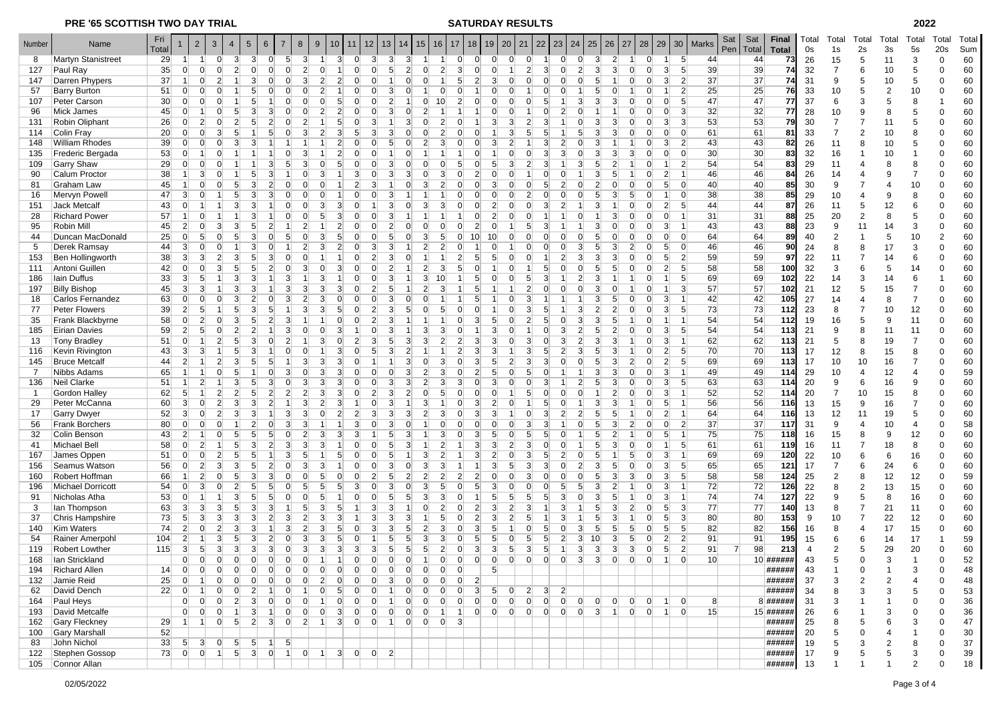| Number          | Name                           | Fri             | $\overline{2}$    | 3                                                  | $\overline{4}$       | $5\overline{)}$     | 6                                | $\overline{7}$ | 8                           | 9                                | 10             |                | 12 <sup>2</sup>                  | 13             | 14             | 15 <sup>15</sup>                | 16             | 17                   | 18             | 19<br><b>20</b> | 21             | 22                               | 23             | 24                | 25                 | 26             | 27             | 29<br>28             | 30 <sub>1</sub>                  | Marks           | Sat<br>Sat           | Final        | Total          | Total          | Total                 | Total          | Total               | Total                | Total    |
|-----------------|--------------------------------|-----------------|-------------------|----------------------------------------------------|----------------------|---------------------|----------------------------------|----------------|-----------------------------|----------------------------------|----------------|----------------|----------------------------------|----------------|----------------|---------------------------------|----------------|----------------------|----------------|-----------------|----------------|----------------------------------|----------------|-------------------|--------------------|----------------|----------------|----------------------|----------------------------------|-----------------|----------------------|--------------|----------------|----------------|-----------------------|----------------|---------------------|----------------------|----------|
|                 |                                | Total           |                   |                                                    |                      |                     |                                  |                |                             |                                  |                |                |                                  |                |                |                                 |                |                      |                |                 |                |                                  |                |                   |                    |                |                |                      |                                  |                 | Pen   Total          | <b>Total</b> | 0s             | 1s             | 2s                    | 3s             | 5s                  | 20s                  | Sum      |
| 8               | Martyn Stanistreet             | 29              | -11               | 1<br> 0                                            | 3 <sup>l</sup>       | 3 <sup>l</sup>      | 0                                | 5              | 3 <sup>l</sup>              | 11                               | 3 <sup>1</sup> | $\overline{0}$ | $\overline{3}$                   | 3 <sup>l</sup> | 3              | 1                               | -11            | 0                    | $\overline{0}$ | $\overline{0}$  | $\overline{0}$ | $\overline{0}$<br>$\overline{1}$ | $\Omega$       | 0                 | 3 <sup>l</sup>     | 2 <sup>1</sup> |                | $\Omega$             | -51                              | 44              | 44                   | 73           | 26             | 15             | 5                     | 11             | 3                   | $\Omega$             | 60       |
| 127             | Paul Ray                       | 35              | $\overline{0}$    | $\Omega$<br>$\overline{0}$                         | $\mathcal{P}$        | $\Omega$            | $\Omega$                         | $\Omega$       | $\overline{2}$              | $\Omega$                         |                | $\Omega$       | $\Omega$                         |                | $\overline{2}$ | $\Omega$                        | $\overline{2}$ | 3                    | $\overline{0}$ | $\Omega$        |                | $\mathcal{P}$<br>3               | $\Omega$       | $\mathcal{P}$     | 3                  | 3              | $\Omega$       | $\Omega$             | 5                                | 39              | 39                   | 74           | 32             | $\overline{7}$ | 6                     | 10             | 5                   | $\mathbf 0$          | 60       |
| 147             | Darren Phypers                 | 37              |                   | $\overline{2}$<br>$\Omega$                         |                      | 3                   | $\overline{0}$                   | $\Omega$       | 3                           | $\overline{2}$                   |                |                | $\Omega$                         |                | $\Omega$       | $\Omega$                        |                | 5 <sup>1</sup>       | $\overline{2}$ | 3               |                | U                                |                | $\Omega$          | 5                  |                | $\Omega$       | $\Omega$             | $\mathbf{3}$<br>$\mathcal{P}$    | 37              | 37                   | 74           | 31             | 9              | 5                     | 10             | 5                   | $\Omega$             | 60       |
| 57              | <b>Barry Burton</b>            | 51              | $\Omega$          | $\Omega$                                           |                      | 5                   |                                  |                |                             |                                  |                |                | $\Omega$                         |                |                |                                 |                |                      |                |                 |                |                                  |                |                   | 5                  |                |                | $\Omega$             | $\overline{2}$                   | 25              | 25                   | 76           | 33             | 10             | 5                     | $\overline{2}$ | 10                  | $\Omega$             | 60       |
| 107             | Peter Carson                   | 30 <sup>1</sup> | $\overline{0}$    | $\Omega$<br>$\Omega$                               |                      | 5                   |                                  |                |                             |                                  |                |                | $\Omega$                         |                |                | $\Omega$                        |                |                      |                |                 |                | 5                                |                | 3                 | 3                  |                |                | $\Omega$             | -5<br>$\overline{0}$             | 47              | 47                   | 77           | 37             | 6              | 3                     | 5              | 8                   |                      | 60       |
| 96              | Mick James                     | 45              | $\Omega$          |                                                    | 5                    | 3                   | 3                                |                |                             |                                  |                |                |                                  |                |                |                                 |                |                      |                |                 |                |                                  |                |                   |                    |                |                | $\Omega$             | -3<br>$\Omega$                   | 32              | 32                   | 77           | 28             | 10             | 9                     | 8              | 5                   | $\Omega$             | 60       |
| 131             | Robin Oliphant                 | 26              | $\Omega$          | $\overline{2}$<br>$\Omega$                         |                      | 5 <sup>5</sup>      | $\overline{2}$                   |                | 2                           |                                  |                | O              | $\overline{3}$                   |                | 3              | $\Omega$                        | 2              |                      |                | 3               | 3              | $\overline{2}$<br>3              |                | $\Omega$          | 3                  |                | $\Omega$       | $\Omega$             | 3<br>$\mathbf{3}$                | 53              | 53                   | 79           | 30             | 7              | $\overline{7}$        | 11             | 5                   | $\Omega$             | 60       |
| 114             | Colin Fray                     | 20              |                   | 3                                                  |                      |                     | 5 <sup>1</sup>                   |                | 3                           | $\overline{2}$                   |                | 5              | 3                                |                |                | $\Omega$                        |                |                      |                |                 |                | 5                                |                |                   | 3                  |                |                |                      | $\Omega$                         | 61              | 61                   | 81           | 33             | $\overline{7}$ | $\overline{2}$        | 10             | 8                   |                      | 60       |
| 148             | William Rhodes                 | 39              | $\overline{0}$    |                                                    |                      |                     |                                  |                |                             |                                  |                |                | $\Omega$                         |                |                | $\overline{2}$                  |                |                      |                | 3               |                | 3                                | $\mathcal{P}$  |                   | 3                  |                |                | $\Omega$             | $\overline{2}$<br>3              | 43              | 43                   | 82           | 26             | 11             | 8                     | 10             | 5                   | $\Omega$             | 60       |
| 135             | Frederic Bergada               | 53              | $\Omega$          |                                                    |                      |                     |                                  |                | 3                           |                                  |                |                | $\Omega$                         |                |                |                                 |                |                      |                |                 |                | 3                                |                |                   | 3 <sup>1</sup>     | 3              | 3              | $\Omega$             | $\overline{0}$<br>$\Omega$       | 30 <sup>°</sup> | 30                   | 83           | 32             | 16             |                       | 10             | $\overline{1}$      | $\Omega$             | 60       |
| 109             | <b>Garry Shaw</b>              | 29              | $\overline{0}$    |                                                    |                      |                     | 3                                |                |                             |                                  |                |                | $\Omega$                         |                |                | $\Omega$                        |                | $\sqrt{5}$           | $\Omega$       | 5               |                | 3                                |                | 3                 | 5                  |                |                | $\Omega$             | $\overline{2}$                   | 54              | 54                   | 83           | 29             | 11             | $\boldsymbol{\Delta}$ | 8              | 8                   | $\Omega$             | 60       |
| 90              | Calum Proctor                  | 38              |                   | 3                                                  |                      | 5                   | 3                                |                |                             |                                  |                | 3              |                                  |                | 3              |                                 |                |                      | 2              |                 |                |                                  |                |                   | 3                  | .5             |                | $\Omega$             | $\overline{2}$                   | 46              | 46                   | 84           | 26             | 14             |                       | 9              | $\overline{7}$      | $\Omega$             | 60       |
| 81              | Graham Law                     | 45              |                   |                                                    |                      |                     |                                  |                |                             |                                  |                |                |                                  |                |                |                                 |                |                      |                |                 |                | 5                                |                |                   | $\overline{2}$     |                |                | $\Omega$             | $\Omega$<br>5                    | 40              | 40                   | 85           | 30             | 9              | $\overline{7}$        | $\overline{4}$ | 10                  | $\Omega$             | 60       |
| 16              | Mervyn Powell                  | 47              | 3                 |                                                    |                      |                     |                                  |                |                             |                                  |                |                |                                  |                |                |                                 |                |                      |                |                 |                |                                  |                |                   | 5                  |                |                |                      | $\Omega$                         | 38              | 38                   | 85           | 29             | 10             | $\overline{4}$        | 9              | 8                   | $\Omega$             | 60       |
| 151             | <b>Jack Metcalf</b>            | 43              |                   |                                                    |                      |                     |                                  |                |                             |                                  |                |                |                                  |                |                |                                 |                |                      |                |                 |                |                                  |                |                   | 3                  |                |                |                      | $\overline{2}$<br>-5             | 44              | 44                   | 87           | 26             | 11             | 5                     | 12             | 6                   | $\Omega$             | 60       |
| 28              | <b>Richard Power</b>           | 57              |                   |                                                    |                      |                     |                                  |                |                             | 5                                |                |                | $\Omega$                         |                |                |                                 |                |                      |                |                 |                |                                  |                |                   |                    |                |                | $\Omega$             | $\overline{0}$                   | 31              | 31                   | 88           | 25             | 20             | $\overline{2}$        | 8              | 5                   | $\Omega$             | 60       |
| 95              | Robin Mill                     | 45              | $\mathcal{P}$     | 3                                                  |                      |                     |                                  |                |                             |                                  |                |                |                                  |                |                |                                 |                |                      |                |                 |                |                                  |                |                   | 3                  |                |                |                      | 3<br>-1                          | 43              | 43                   | 88           | 23             | 9              | 11                    | 14             | 3                   | $\Omega$             | 60       |
| 44              | Duncan MacDonald               | 25              | $\Omega$          | 5 <sup>5</sup><br>$\Omega$                         | 5                    | 3                   | $\Omega$                         |                |                             | 3                                |                | $\Omega$       | $\Omega$                         | 5              | <sup>n</sup>   | 3                               | 5              | $\Omega$             | 10             | 10 <sup>1</sup> |                | U                                |                |                   | 5                  |                |                | $\Omega$             | $\Omega$<br>$\Omega$             | 64              | 64                   | 89           | 40             | $\overline{2}$ |                       | 5              | 10                  | 2                    | 60       |
| $5\overline{)}$ | Derek Ramsay                   | 44              | 3                 |                                                    |                      | 3                   |                                  |                |                             | 3                                |                |                | 3                                |                |                | $\mathcal{P}$                   |                |                      |                |                 |                |                                  |                |                   | 5                  |                |                | $\Omega$             | $\Omega$<br>5                    | 46              | 46                   | 90           | 24             | 8              | 8                     | 17             | 3                   | $\Omega$             | 60       |
| 153             | Ben Hollingworth               | 38              | 3                 | $\overline{3}$<br>$\overline{2}$                   |                      | 5 <sup>5</sup>      | 3                                |                |                             |                                  |                |                | $\overline{2}$                   | 3              |                |                                 |                |                      | 5              | 5               |                |                                  |                |                   | 3                  |                |                |                      | $\overline{2}$<br>5 <sup>5</sup> | 59              | 59                   | 97           | 22             | 11             | $\overline{7}$        | 14             | 6                   | $\Omega$             | 60       |
| 111             | Antoni Guillen                 | 42              | $\Omega$          | 3                                                  |                      | 5                   | $\overline{2}$                   |                |                             |                                  |                |                | $\Omega$                         |                |                | $\mathcal{P}$                   |                |                      |                |                 |                |                                  |                |                   |                    |                |                | $\Omega$             | 5<br>$\overline{2}$              | 58              | 58                   | 100          | 32             | 3              | 6                     | 5              | 14                  |                      | 60       |
| 186             | lain Duffus                    | 33              | $\mathbf{3}$      | 5                                                  |                      | 3                   |                                  |                |                             |                                  |                |                | $\overline{0}$                   |                |                | 3                               |                |                      | 5              |                 |                | 3                                |                | $\overline{2}$    |                    |                |                |                      | 5                                | 69              | 69                   | 102          | 22             | 14             | 3                     | 14             | 6                   |                      | 60       |
| 197             | <b>Billy Bishop</b>            | 45              | $\mathbf{3}$      | 3                                                  |                      | 3                   |                                  | 3              | 3                           | 3                                | 3              | $\Omega$       | $\overline{2}$                   | 5              |                | $\overline{2}$                  | 3              |                      | 5              |                 |                | $\Omega$                         |                |                   | 3                  |                |                | $\Omega$             | 3                                | 57              | 57                   | 102          | 21             | 12             | 5                     | 15             | 7                   | $\Omega$             | 60       |
| 18              | Carlos Fernandez               | 63              | $\overline{0}$    | $\Omega$<br>$\Omega$                               | 3                    | 2                   | 0                                | 3              | 2                           | 3                                |                | $\Omega$       | $\overline{0}$                   | 3              | $\Omega$       | $\Omega$                        |                |                      | 5              |                 |                |                                  |                |                   | 3                  | 5 <sup>1</sup> | $\Omega$       | $\Omega$             | 3                                | 42              | 42                   | 105          | 27             | 14             | $\overline{4}$        | 8              | $\overline{7}$      | $\Omega$             | 60       |
| 77              | Peter Flowers                  | 39              | $\overline{2}$    | 5                                                  |                      | 3                   |                                  |                |                             | 3                                |                |                |                                  |                |                |                                 |                |                      |                |                 |                | 5                                |                | 3                 | $\overline{2}$     |                |                | $\Omega$             | 3<br>-5                          | 73              | 73                   | 112          | 23             | 8              | $\overline{7}$        | 10             | 12                  | $\Omega$             | 60       |
| 35              | Frank Blackbyrne               | 58              | $\Omega$          |                                                    |                      | 5                   | $\overline{2}$                   |                |                             |                                  |                |                |                                  |                |                |                                 |                |                      |                |                 |                | 5                                |                |                   | $\mathbf{3}$       | 5              |                |                      |                                  | 54              | 54                   | 112          | 19             | 16             | 5                     | 9              | 11                  | $\Omega$             | 60       |
| 185             | Eirian Davies                  | 59              | $\overline{2}$    | 5<br>$\Omega$                                      |                      |                     |                                  |                |                             |                                  |                |                | $\Omega$                         |                |                | 3                               |                |                      |                | 3               |                |                                  |                | 2                 | 5                  |                |                |                      | 3 <sup>l</sup><br>-5             | 54              | 54                   | 113          | 21             | 9              | 8                     | 11             | 11                  | $\Omega$             | 60       |
| 13              | <b>Tony Bradley</b>            | 51              | $\Omega$          | $\overline{2}$                                     |                      |                     |                                  |                |                             |                                  |                |                | 3                                |                |                |                                 |                |                      |                |                 |                |                                  |                |                   | 3                  |                |                | $\Omega$             | 3<br>$\overline{1}$              | 62              | 62                   | 113          | 21             | 5              | 8                     | 19             | $\overline{7}$      | $\Omega$             | 60       |
| 116             | Kevin Rivington                | 43              | 3                 | $\overline{3}$                                     |                      | 3                   |                                  |                |                             |                                  |                |                | 5                                | 3              | 2              |                                 |                | $\overline{2}$       | $\mathbf{3}$   | 3               |                | 3<br>5                           |                | 3                 | 5                  | $\mathbf{3}$   |                | $\overline{0}$       | $\overline{2}$<br>-5             | 70              | 70                   | 113          | 17             | 12             | 8                     | 15             | 8                   | $\Omega$             | 60       |
| 145             | <b>Bruce Metcalf</b>           | 44              |                   | $\overline{2}$                                     |                      |                     |                                  |                |                             |                                  |                |                |                                  |                | 3              | $\Omega$                        |                |                      | 3              | 5               |                | 3                                |                |                   | 5                  |                |                | $\Omega$             | -5<br>$\overline{2}$             | 69              | 69                   | 113          | 17             | 10             | 10                    | 16             | 7                   | $\Omega$             | 60       |
| $\overline{7}$  | Nibbs Adams                    | 65              |                   | $\overline{0}$<br>$\vert$ 1                        | 5                    |                     | $\Omega$                         | 3              | $\Omega$                    | 3<br>3                           |                |                | $\Omega$                         |                | 3              | $\overline{2}$<br>$\mathcal{P}$ | 3              | $\Omega$             | $\overline{2}$ | 5               |                | .5<br>U                          |                |                   | $\mathcal{B}$<br>5 | $\mathbf{3}$   | $\Omega$       | $\overline{0}$       | $\mathbf{3}$<br>-1               | 49              | 49                   | 114          | 29             | 10             | $\overline{4}$        | 12             | $\overline{4}$      | $\Omega$             | 59       |
| 136             | Neil Clarke                    | 51              |                   | $\overline{2}$                                     |                      | 5                   | 3                                |                |                             |                                  |                |                |                                  |                | 3              |                                 | 5              | з                    |                |                 |                | $\Omega$                         |                |                   |                    |                |                | $\Omega$             | $\mathbf{3}$<br>5                | 63              | 63                   | 114          | 20             | 9              | 6                     | 16             | 9                   | $\Omega$<br>$\Omega$ | 60       |
| $\overline{1}$  | Gordon Halley<br>Peter McCanna | 62<br>60        | 5 <sup>5</sup>    | 2 <sup>1</sup><br>$\overline{2}$<br>$\overline{0}$ |                      | 5 <sup>5</sup><br>3 | 2 <sup>1</sup><br>2 <sup>1</sup> | $\overline{2}$ | $\overline{2}$<br>3         | $\mathbf{3}$                     | 3              | $\Omega$       | $\overline{2}$<br>$\overline{0}$ | 3<br>3         | $\overline{2}$ | $\Omega$<br>3                   |                | $\Omega$<br>$\Omega$ | $\Omega$<br>3  | $\overline{2}$  |                | .5<br>5                          |                | $\Omega$          | 3                  | $\overline{2}$ | $\overline{0}$ | $\Omega$<br>$\Omega$ | $\mathbf{3}$<br>5 <sup>5</sup>   | 52<br>56        | 52<br>56             | 114<br>116   | 20             | $\overline{7}$ | 10<br>9               | 15<br>16       | 8<br>$\overline{7}$ | $\Omega$             | 60<br>60 |
| 29<br>17        | <b>Garry Dwyer</b>             | 52              | $\mathbf{3}$<br>3 | 2 <sup>1</sup>                                     |                      | 3                   |                                  | 3              | 3                           | $\overline{2}$<br>$\overline{0}$ | $\overline{2}$ | $\overline{2}$ | 3                                | 3              | 3              | $\overline{2}$                  |                |                      | 3              |                 |                | 3                                |                | 2                 | 5                  |                |                | $\Omega$             | $\overline{2}$                   | 64              | 64                   | 116          | 13<br>13       | 15             | 11                    |                |                     | $\Omega$             | 60       |
|                 | <b>Frank Borchers</b>          | 80              | $\Omega$          | $\Omega$                                           |                      | $\overline{2}$      | $\Omega$                         | 3              | 3                           |                                  |                | 3              | $\Omega$                         | 3              |                |                                 |                |                      |                |                 |                | 3                                |                |                   | 5                  | 3              | $\mathcal{P}$  | $\Omega$             | $\overline{2}$<br>$\overline{0}$ | 37              | 37                   | 117          | 31             | 12<br>9        | $\overline{4}$        | 19<br>10       | 5<br>$\overline{4}$ | $\Omega$             | 58       |
| 56<br>32        | Colin Benson                   | 43              | $\overline{2}$    | $\Omega$                                           | 5                    | 5                   | 5                                |                | 2                           | 3                                |                | 3              |                                  | 5              | 3              |                                 | 3              |                      | 3              | 5               |                | 5<br>5                           |                |                   | 5                  |                |                | $\Omega$             | 5                                | 75              | 75                   | 118          | 16             | 15             | 8                     | 9              | 12                  | $\Omega$             | 60       |
| 41              | Michael Bell                   | 58              | $\overline{0}$    | $\overline{2}$                                     | 5                    | 3                   | $\overline{2}$                   |                |                             | 3                                |                |                | $\Omega$                         | 5              | 3              |                                 |                |                      |                | 3               |                |                                  |                |                   | 5                  |                |                |                      | -5                               | 61              | 61                   | 119          | 16             | 11             | 7                     | 18             | 8                   | $\Omega$             | 60       |
| 167             | James Oppen                    | 51              | $\Omega$          |                                                    |                      |                     |                                  |                |                             |                                  |                |                |                                  |                |                |                                 |                |                      |                |                 |                |                                  |                |                   |                    |                |                |                      |                                  | 69              | 69                   | 120          | 22             | 10             | 6                     | 6              | 16                  | $\Omega$             | 60       |
| 156             | Seamus Watson                  | 56              | $\Omega$          | $\overline{2}$<br>$\mathcal{E}$                    |                      |                     | $\overline{2}$                   |                |                             |                                  |                |                |                                  |                |                | 3                               |                |                      |                |                 |                | 3                                |                |                   | 3                  |                |                |                      | 3 <sup>l</sup><br>-5             | 65              | 65                   | 121          | 17             | $\overline{7}$ | 6                     | 24             | 6                   | $\Omega$             | 60       |
| 160             | Robert Hoffman                 | 66              |                   | $\mathcal{P}$                                      |                      |                     |                                  |                |                             |                                  |                |                |                                  |                |                |                                 |                |                      |                |                 |                |                                  |                |                   |                    |                |                | $\Omega$             | 5<br>3                           | 58              | 58                   | 124          | 25             | $\overline{2}$ | 8                     | 12             | 12                  | $\Omega$             | 59       |
| 196             | <b>Michael Dorricott</b>       | 54              | $\overline{0}$    | $\overline{3}$<br>$\Omega$                         |                      | 5                   | 5 <sup>1</sup>                   |                |                             | 5                                |                | 3              | $\Omega$                         |                |                | 3                               | 5              |                      | 5              | 3               |                |                                  |                | $\sqrt{5}$        | 3                  |                |                | $\overline{0}$       | 3 <sup>l</sup><br>-1             | 72              | 72                   | 126          | 22             | 8              | $\overline{2}$        | 13             | 15                  | $\Omega$             | 60       |
| 91              | Nicholas Atha                  | 53              | $\Omega$          |                                                    |                      | 5                   | 5                                |                |                             |                                  |                |                | $\Omega$                         |                | 5              | 3                               | 3              |                      |                | 5               |                | 5                                |                |                   | 3                  | 5              |                | $\overline{0}$       | 3<br>-1                          | 74              | 74                   | 127          | 22             | 9              | 5                     | 8              | 16                  | $\Omega$             | 60       |
| 3               | lan Thompson                   | 63              | 3                 | $\overline{3}$<br>$\mathbf{3}$                     | 5                    | 3                   | 3                                |                | 5                           | 3                                |                |                | $\mathbf{3}$                     |                |                | $\Omega$                        | $\mathcal{P}$  | $\Omega$             | $\overline{2}$ | 3               |                | 3                                |                |                   | 5                  | $\mathbf{3}$   | $\overline{2}$ | $\Omega$             | 5 <sup>1</sup><br>-3             | 77              | 77                   | 140          | 13             | 8              | $\overline{7}$        | 21             | 11                  | $\Omega$             | 60       |
| 37              | <b>Chris Hampshire</b>         | 73              | 5 <sup>5</sup>    | $\mathbf{3}$<br>$\mathbf{3}$                       | 3                    | 3                   | $\overline{2}$                   | 3              | $\overline{2}$              | 3                                |                |                | 3                                | 3              | 3              |                                 | 5              |                      | $\overline{2}$ | 3               |                | 5                                |                |                   | 5                  |                |                | $\Omega$             | 3<br>5 <sup>5</sup>              | 80              | 80                   | 153          | 9              | 10             | $\overline{7}$        | 22             | 12                  | $\Omega$             | 60       |
| 140             | Kim Waters                     | 74              | $\overline{2}$    | 2 <sup>1</sup><br>$\overline{0}$                   |                      | 3                   |                                  | $\mathbf{3}$   | $\overline{2}$              | 3                                |                | $\Omega$       | 3                                | 3              | 5              | $\overline{2}$                  | 3              |                      | 3              |                 |                | 5                                |                | 3                 | 5                  |                | 5              | $\Omega$             | 5<br>5                           | 82              | 82                   | 156          | 16             | 8              | $\overline{4}$        | 17             | 15                  | $\Omega$             | 60       |
| 54              | Rainer Amerpohl                | 104             | $\overline{2}$    | 3                                                  |                      | 3                   | $\overline{2}$                   |                | 3                           | 3                                |                |                |                                  |                | 5              | 3                               |                |                      |                |                 |                |                                  |                | $\overline{3}$    | 10 <sup>1</sup>    |                |                | $\Omega$             | $\overline{2}$<br>$\vert$ 2      | 91              | 91                   | 195          | 15             | 6              | 6                     | 14             | 17                  |                      | 59       |
| 119             | <b>Robert Lowther</b>          | 115             | $\mathbf{3}$      | 5 <sub>5</sub><br>$\mathbf{3}$                     | 3                    | 3                   | $\mathbf{3}$                     | $\overline{0}$ | 3                           | $\mathbf{3}$                     | 3              | 3              | $\vert 3 \vert$                  | 5              | 5 <sup>5</sup> | 5 <sub>5</sub>                  | $\overline{2}$ | $\Omega$             | $\mathbf{3}$   | 3 <sup>1</sup>  | 5 <sup>5</sup> | $\mathbf{3}$<br>5                |                | $\lvert 3 \rvert$ | 3 <sup>1</sup>     | 3 <sup>1</sup> | 3              | $\overline{0}$       | 5 <sup>5</sup><br>$\overline{2}$ | 91              | 98<br>$\overline{7}$ | 213          | $\overline{4}$ | $\overline{2}$ | 5                     | 29             | 20                  | $\Omega$             | 60       |
| 168             | Ian Strickland                 |                 | $\overline{0}$    | $\overline{0}$<br> 0                               | $\overline{0}$       | 0                   | $\overline{0}$                   | 0              | $\overline{0}$              | $\vert$ 1                        | 1              | 0              | 0                                | $\overline{0}$ | $\overline{0}$ | $\vert$ 1                       | $\overline{0}$ | 0                    | $\overline{0}$ | 0               | $\overline{0}$ | $\overline{0}$<br> 0             | $\overline{0}$ | $\vert$ 3         | 3 <sup>l</sup>     | 0              | $\overline{0}$ | $\overline{0}$       | $\Omega$                         | 10 <sup>1</sup> |                      | $10$ ######  | 43             | 5              | $\Omega$              | 3              | $\overline{1}$      | $\Omega$             | 52       |
| 194             | Richard Allen                  | $14$ 0          |                   | 0 <br>$\overline{0}$                               | $\overline{0}$       | $\overline{0}$      | $\overline{0}$                   | $\overline{0}$ | $\overline{0}$              | $\overline{0}$                   | 0              | $\overline{0}$ | $\overline{0}$                   | 0              |                | $\overline{0}$                  | $\overline{0}$ |                      |                | 5 <sup>1</sup>  |                |                                  |                |                   |                    |                |                |                      |                                  |                 |                      | #####        | 43             |                |                       |                | $\sim$              |                      | 48       |
| 132             | Jamie Reid                     | 25              | 0                 | $\vert$ 1<br> 0                                    | $\overline{0}$       | 0                   | 0                                | 0              | $\overline{0}$              | $\mathbf{2}$                     | $\overline{0}$ | 0              | 0                                | $\mathbf{3}$   | $\overline{0}$ | $\overline{0}$                  | 0              | 0                    | $\overline{2}$ |                 |                |                                  |                |                   |                    |                |                |                      |                                  |                 |                      | ######       | 37             | 3              | $\overline{2}$        | $\overline{2}$ |                     | $\Omega$             | 48       |
| 62              | David Dench                    | 22              | $\overline{0}$    | $\mathbf{0}$                                       | $\Omega$             | $\overline{2}$      |                                  |                |                             | $\overline{0}$                   | 5              | $\mathbf{0}$   | $\overline{0}$                   |                | 0              | $\overline{0}$                  | 0              | 0                    | $3 \vert$      | 5 <sup>2</sup>  | 0              | $\vert$ 2<br>3 <sup>l</sup>      | $\overline{2}$ |                   |                    |                |                |                      |                                  |                 |                      | ######       | 34             |                | 3                     | 3              | 5                   | $\Omega$             | 53       |
|                 | 164 Paul Heys                  |                 | $0 \quad 0$       |                                                    | 0 <br>$\overline{2}$ | 3 <sup>l</sup>      | 0                                | 0              | 0                           | $\vert$ 1                        | $\overline{0}$ | 0              | 0                                | $1 \vert$      | $\overline{0}$ | 0                               | $\overline{0}$ | 0                    | 0              | 0               | $ 0 $ $ 0 $    | $\overline{0}$                   | 0              | 0                 | 0                  | 0              | $\overline{0}$ | $\overline{0}$       | $\overline{0}$<br>1              | 8 <sup>°</sup>  |                      | 8######      | 31             | 3              |                       |                | 0                   | $\mathbf 0$          | 36       |
|                 | 193   David Metcalfe           |                 | $\overline{0}$    | $\overline{0}$<br> 0                               | 1                    | $\mathbf{3}$        | 1                                | 0              | $\overline{0}$              | 0                                | $\mathbf{3}$   | 0              | 0                                | $\overline{0}$ | $\overline{0}$ | $\overline{0}$                  | $\vert$ 1      | 1                    | $0 \quad 0$    |                 | 0              | 0 <br> 0                         | 0              | 0                 | 3                  | $\vert$ 1      | 0              | 0                    | 1<br> 0                          | 15              |                      | 15 ######    | 26             | 6              |                       | 3              | $\mathbf 0$         | $\Omega$             | 36       |
| 162             | Gary Fleckney                  | 29              | $1 \quad 1$       |                                                    | $0 \mid 5$           | $\vert$ 2           |                                  |                | $3 \quad 0 \quad 2 \quad 1$ |                                  | $3 \vert$      |                | $0 \quad 0$                      | $\vert$ 1      |                | $ 0 $ $ 0 $                     | $0 \mid 3$     |                      |                |                 |                |                                  |                |                   |                    |                |                |                      |                                  |                 |                      | ######       | 25             | 8              | 5                     | 6              | 3                   | 0                    | 47       |
|                 | 100 Gary Marshall              | 52              |                   |                                                    |                      |                     |                                  |                |                             |                                  |                |                |                                  |                |                |                                 |                |                      |                |                 |                |                                  |                |                   |                    |                |                |                      |                                  |                 |                      | ######       | 20             | 5              | $\mathbf 0$           | $\overline{4}$ | -1                  | $\Omega$             | 30       |
| 83              | John Nichol                    | 33              | 5 <sup>1</sup>    | 3<br> 0                                            | 5 <sub>l</sub>       | 5 <sup>5</sup>      | 1                                | 5 <sup>5</sup> |                             |                                  |                |                |                                  |                |                |                                 |                |                      |                |                 |                |                                  |                |                   |                    |                |                |                      |                                  |                 |                      | ######       | 19             | 5              | 3                     | 2              | 8                   | $\mathbf 0$          | 37       |
|                 | 122 Stephen Gossop             | 73              | 0                 | $ 0 $ 1                                            | 5 <sup>5</sup>       | $3 \vert$           | 0                                | $\vert$ 1      |                             | $0 \quad 1$                      | $3 \vert$      |                | $0 \quad 0$                      | $\vert$ 2      |                |                                 |                |                      |                |                 |                |                                  |                |                   |                    |                |                |                      |                                  |                 |                      | ######       | 17             | 9              | 5                     | 5              | 3                   | 0                    | 39       |
|                 | 105 Connor Allan               |                 |                   |                                                    |                      |                     |                                  |                |                             |                                  |                |                |                                  |                |                |                                 |                |                      |                |                 |                |                                  |                |                   |                    |                |                |                      |                                  |                 |                      | ######       |                |                |                       |                |                     |                      | 18       |